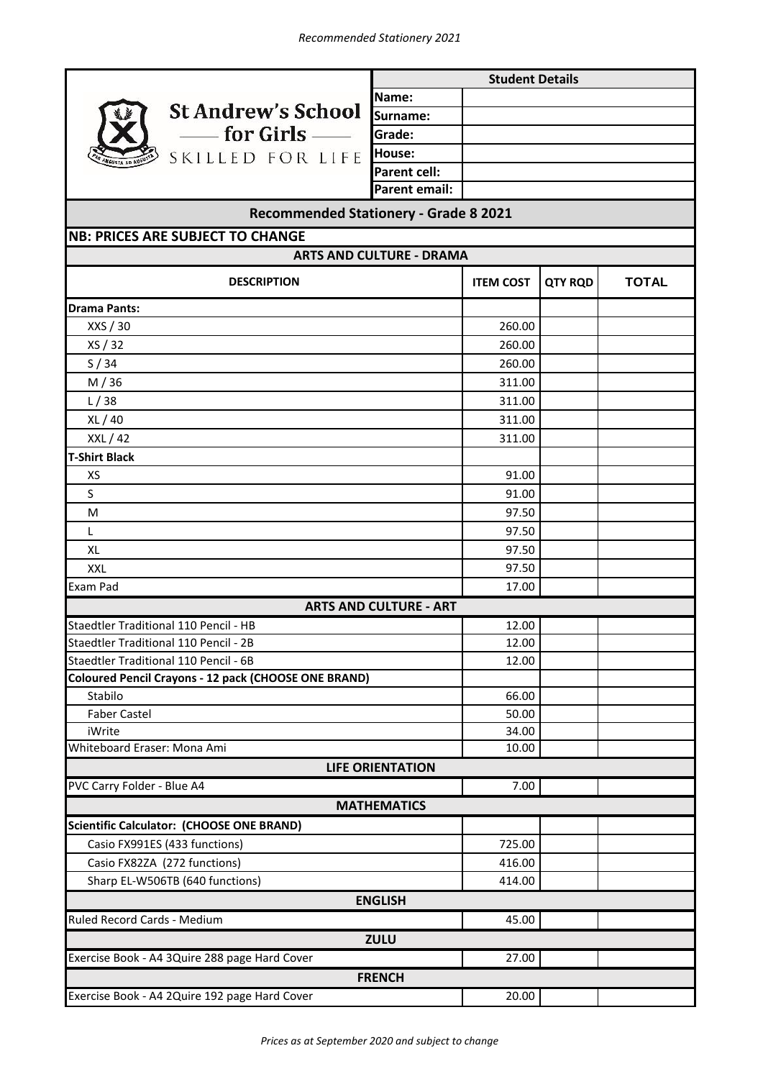

**Name: Surname: Grade: House: Parent cell: Parent email:** 

**Student Details**

## **Recommended Stationery - Grade 8 2021**

**ITEM COST QTY RQD TOTAL** 260.00 260.00 260.00 311.00 311.00 311.00 311.00 91.00 91.00 97.50 97.50 97.50 97.50 17.00 12.00 12.00 12.00 66.00 50.00 34.00 10.00 7.00 725.00 416.00 414.00 45.00 27.00 20.00 Casio FX82ZA (272 functions) M / 36 XL / 40  $L/38$ **ARTS AND CULTURE - ART** Faber Castel **ARTS AND CULTURE - DRAMA ZULU LIFE ORIENTATION T-Shirt Black** S XS XXL L M XL Staedtler Traditional 110 Pencil - HB **ENGLISH MATHEMATICS** Stabilo **Drama Pants:** XXS / 30 XS / 32 S / 34 XXL / 42 Sharp EL-W506TB (640 functions) **FRENCH** Exercise Book - A4 2Quire 192 page Hard Cover Ruled Record Cards - Medium Exercise Book - A4 3Quire 288 page Hard Cover **NB: PRICES ARE SUBJECT TO CHANGE** Exam Pad **Coloured Pencil Crayons - 12 pack (CHOOSE ONE BRAND)** Casio FX991ES (433 functions) iWrite Staedtler Traditional 110 Pencil - 2B Staedtler Traditional 110 Pencil - 6B Whiteboard Eraser: Mona Ami PVC Carry Folder - Blue A4 **Scientific Calculator: (CHOOSE ONE BRAND) DESCRIPTION**